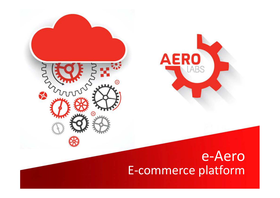



## E-commerce platforme-Aero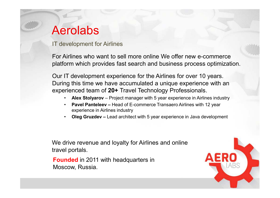# Aerolabs

IT development for Airlines

For Airlines who want to sell more online We offer new e-commerce platform which provides fast search and business process optimization.

Our IT development experience for the Airlines for over 10 years. During this time we have accumulated a unique experience with an experienced team of **20+** Travel Technology Professionals.

- **Alex Stolyarov** Project manager with 5 year experience in Airlines industry
- •**Pavel Panteleev –** Head of E-commerce Transaero Airlines with 12 year experience in Airlines industry
- •**Oleg Gruzdev** – Lead architect with 5 year experience in Java development

We drive revenue and loyalty for Airlines and online travel portals.

**Founded** in 2011 with headquarters in Moscow, Russia.

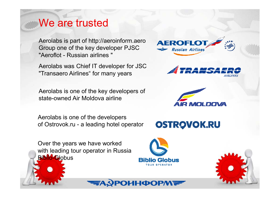### We are trusted

Aerolabs is part of http://aeroinform.aero Group one of the key developer PJSC "Aeroflot - Russian airlines "

Aerolabs was Chief IT developer for JSC "Transaero Airlines" for many years

Aerolabs is one of the key developers of state-owned Air Moldova airline

Aerolabs is one of the developers of Ostrovok.ru - a leading hotel operator

Over the years we have worked with leading tour operator in Russia **Biblio-Globus** 



**AEROFL** 

Russian Airlines

**OSTROVOK.RU** 



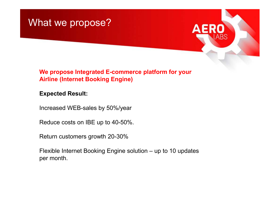



#### **We propose Integrated E-commerce platform for your Airline (Internet Booking Engine)**

#### **Expected Result:**

Increased WEB-sales by 50%/year

Reduce costs on IBE up to 40-50%.

Return customers growth 20-30%

Flexible Internet Booking Engine solution – up to 10 updates per month.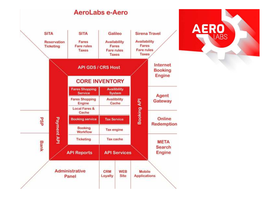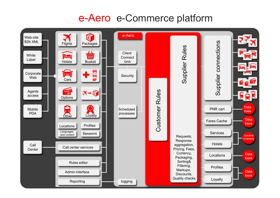# e-Aero e-Commerce platform

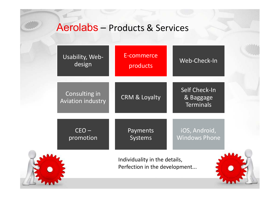### Aerolabs – Products & Services

| Usability, Web-<br>design                                      | E-commerce<br>products   | Web-Check-In                                          |
|----------------------------------------------------------------|--------------------------|-------------------------------------------------------|
| Consulting in<br><b>Aviation industry</b>                      | <b>CRM &amp; Loyalty</b> | <b>Self Check-In</b><br>& Baggage<br><b>Terminals</b> |
| $CEO -$<br>promotion                                           | Payments<br>Systems      | iOS, Android,<br><b>Windows Phone</b>                 |
| Individuality in the details,<br>Perfection in the development |                          |                                                       |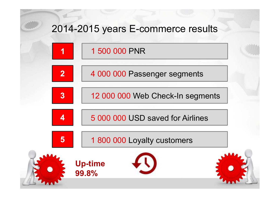